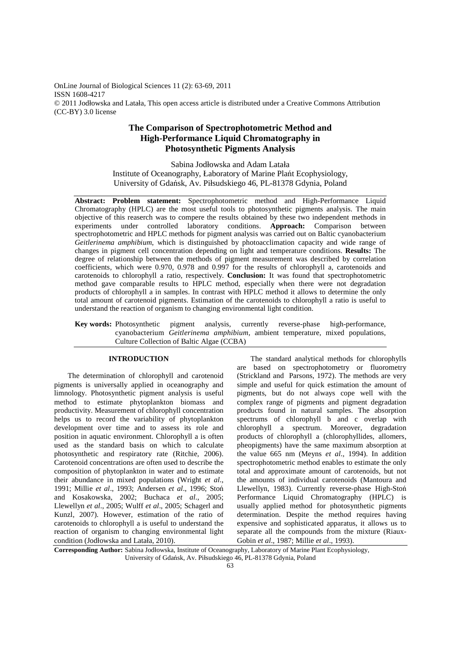OnLine Journal of Biological Sciences 11 (2): 63-69, 2011 ISSN 1608-4217 © 2011 Jodłowska and Latała, This open access article is distributed under a Creative Commons Attribution (CC-BY) 3.0 license

# **The Comparison of Spectrophotometric Method and High-Performance Liquid Chromatography in Photosynthetic Pigments Analysis**

Sabina Jodłowska and Adam Latała

Institute of Oceanography, Łaboratory of Marine Plańt Ecophysiology, University of Gdańsk, Av. Piłsudskiego 46, PL-81378 Gdynia, Poland

**Abstract: Problem statement:** Spectrophotometric method and High-Performance Liquid Chromatography (HPLC) are the most useful tools to photosynthetic pigments analysis. The main objective of this reaserch was to compere the results obtained by these two independent methods in experiments under controlled laboratory conditions. **Approach:** Comparison between spectrophotometric and HPLC methods for pigment analysis was carried out on Baltic cyanobacterium *Geitlerinema amphibium*, which is distinguished by photoacclimation capacity and wide range of changes in pigment cell concentration depending on light and temperature conditions. **Results:** The degree of relationship between the methods of pigment measurement was described by correlation coefficients, which were 0.970, 0.978 and 0.997 for the results of chlorophyll a, carotenoids and carotenoids to chlorophyll a ratio, respectively. **Conclusion:** It was found that spectrophotometric method gave comparable results to HPLC method, especially when there were not degradation products of chlorophyll a in samples. In contrast with HPLC method it allows to determine the only total amount of carotenoid pigments. Estimation of the carotenoids to chlorophyll a ratio is useful to understand the reaction of organism to changing environmental light condition.

**Key words:** Photosynthetic pigment analysis, currently reverse-phase high-performance, cyanobacterium *Geitlerinema amphibium*, ambient temperature, mixed populations, Culture Collection of Baltic Algae (CCBA)

### **INTRODUCTION**

 The determination of chlorophyll and carotenoid pigments is universally applied in oceanography and limnology. Photosynthetic pigment analysis is useful method to estimate phytoplankton biomass and productivity. Measurement of chlorophyll concentration helps us to record the variability of phytoplankton development over time and to assess its role and position in aquatic environment. Chlorophyll a is often used as the standard basis on which to calculate photosynthetic and respiratory rate (Ritchie, 2006). Carotenoid concentrations are often used to describe the composition of phytoplankton in water and to estimate their abundance in mixed populations (Wright *et al*., 1991; Millie *et al*., 1993; Andersen *et al*., 1996; Stoń and Kosakowska, 2002; Buchaca *et al*., 2005; Llewellyn *et al*., 2005; Wulff *et al*., 2005; Schagerl and Kunzl, 2007). However, estimation of the ratio of carotenoids to chlorophyll a is useful to understand the reaction of organism to changing environmental light condition (Jodłowska and Latała, 2010).

 The standard analytical methods for chlorophylls are based on spectrophotometry or fluorometry (Strickland and Parsons, 1972). The methods are very simple and useful for quick estimation the amount of pigments, but do not always cope well with the complex range of pigments and pigment degradation products found in natural samples. The absorption spectrums of chlorophyll b and c overlap with chlorophyll a spectrum. Moreover, degradation products of chlorophyll a (chlorophyllides, allomers, pheopigments) have the same maximum absorption at the value 665 nm (Meyns *et al*., 1994). In addition spectrophotometric method enables to estimate the only total and approximate amount of carotenoids, but not the amounts of individual carotenoids (Mantoura and Llewellyn, 1983). Currently reverse-phase High-Stoń Performance Liquid Chromatography (HPLC) is usually applied method for photosynthetic pigments determination. Despite the method requires having expensive and sophisticated apparatus, it allows us to separate all the compounds from the mixture (Riaux-Gobin *et al*., 1987; Millie *et al*., 1993).

**Corresponding Author:** Sabina Jodłowska, Institute of Oceanography, Laboratory of Marine Plant Ecophysiology, University of Gdańsk, Av. Piłsudskiego 46, PL-81378 Gdynia, Poland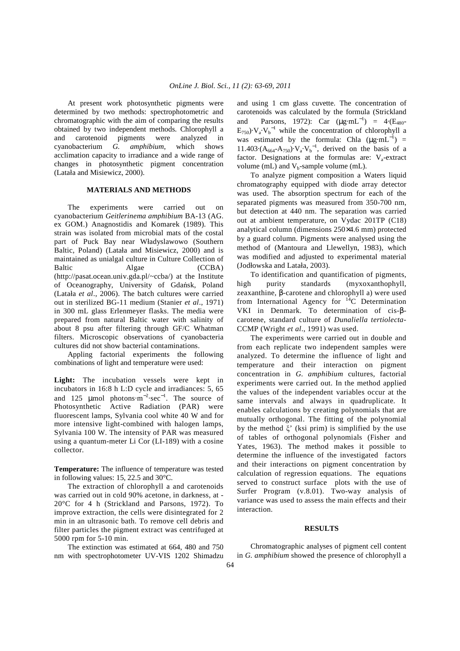At present work photosynthetic pigments were determined by two methods: spectrophotometric and chromatographic with the aim of comparing the results obtained by two independent methods. Chlorophyll a and carotenoid pigments were analyzed in cyanobacterium *G. amphibium*, which shows acclimation capacity to irradiance and a wide range of changes in photosynthetic pigment concentration (Latała and Misiewicz, 2000).

# **MATERIALS AND METHODS**

 The experiments were carried out on cyanobacterium *Geitlerinema amphibium* BA-13 (AG. ex GOM.) Anagnostidis and Komarek (1989). This strain was isolated from microbial mats of the costal part of Puck Bay near Władyslawowo (Southern Baltic, Poland) (Latała and Misiewicz, 2000) and is maintained as unialgal culture in Culture Collection of Baltic Algae (CCBA) (http://pasat.ocean.univ.gda.pl/~ccba/) at the Institute of Oceanography, University of Gdańsk, Poland (Latała *et al*., 2006). The batch cultures were carried out in sterilized BG-11 medium (Stanier *et al*., 1971) in 300 mL glass Erlenmeyer flasks. The media were prepared from natural Baltic water with salinity of about 8 psu after filtering through GF/C Whatman filters. Microscopic observations of cyanobacteria cultures did not show bacterial contaminations.

 Appling factorial experiments the following combinations of light and temperature were used:

Light: The incubation vessels were kept in incubators in 16:8 h L:D cycle and irradiances: 5, 65 and 125  $\mu$ mol photons·m<sup>-2</sup>·sec<sup>-1</sup>. The source of Photosynthetic Active Radiation (PAR) were fluorescent lamps, Sylvania cool white 40 W and for more intensive light-combined with halogen lamps, Sylvania 100 W. The intensity of PAR was measured using a quantum-meter Li Cor (LI-189) with a cosine collector.

**Temperature:** The influence of temperature was tested in following values: 15, 22.5 and 30°C.

 The extraction of chlorophyll a and carotenoids was carried out in cold 90% acetone, in darkness, at - 20°C for 4 h (Strickland and Parsons, 1972). To improve extraction, the cells were disintegrated for 2 min in an ultrasonic bath. To remove cell debris and filter particles the pigment extract was centrifuged at 5000 rpm for 5-10 min.

 The extinction was estimated at 664, 480 and 750 nm with spectrophotometer UV-VIS 1202 Shimadzu and using 1 cm glass cuvette. The concentration of carotenoids was calculated by the formula (Strickland and Parsons, 1972): Car  $(\mu g \cdot mL^{-1}) = 4 \cdot (E_{480} E_{750}$ )· $V_a$ · $V_b$ <sup>-1</sup> while the concentration of chlorophyll a was estimated by the formula: Chla  $(\mu g \cdot mL^{-1})$  = 11.403· $(A_{664} - A_{750})$ · $V_a$ · $V_b$ <sup>-1</sup>, derived on the basis of a factor. Designations at the formulas are:  $V_a$ -extract volume (mL) and  $V_b$ -sample volume (mL).

 To analyze pigment composition a Waters liquid chromatography equipped with diode array detector was used. The absorption spectrum for each of the separated pigments was measured from 350-700 nm, but detection at 440 nm. The separation was carried out at ambient temperature, on Vydac 201TP (C18) analytical column (dimensions 250×4.6 mm) protected by a guard column. Pigments were analysed using the method of (Mantoura and Llewellyn, 1983), which was modified and adjusted to experimental material (Jodłowska and Latała, 2003).

 To identification and quantification of pigments, high purity standards (myxoxanthophyll, zeaxanthine, β-carotene and chlorophyll a) were used from International Agency for  $^{14}$ C Determination VKI in Denmark. To determination of cis-βcarotene, standard culture of *Dunaliella tertiolecta*-CCMP (Wright *et al*., 1991) was used.

 The experiments were carried out in double and from each replicate two independent samples were analyzed. To determine the influence of light and temperature and their interaction on pigment concentration in *G. amphibium* cultures, factorial experiments were carried out. In the method applied the values of the independent variables occur at the same intervals and always in quadruplicate. It enables calculations by creating polynomials that are mutually orthogonal. The fitting of the polynomial by the method  $\xi'$  (ksi prim) is simplified by the use of tables of orthogonal polynomials (Fisher and Yates, 1963). The method makes it possible to determine the influence of the investigated factors and their interactions on pigment concentration by calculation of regression equations. The equations served to construct surface plots with the use of Surfer Program (v.8.01). Two-way analysis of variance was used to assess the main effects and their interaction.

# **RESULTS**

 Chromatographic analyses of pigment cell content in *G. amphibium* showed the presence of chlorophyll a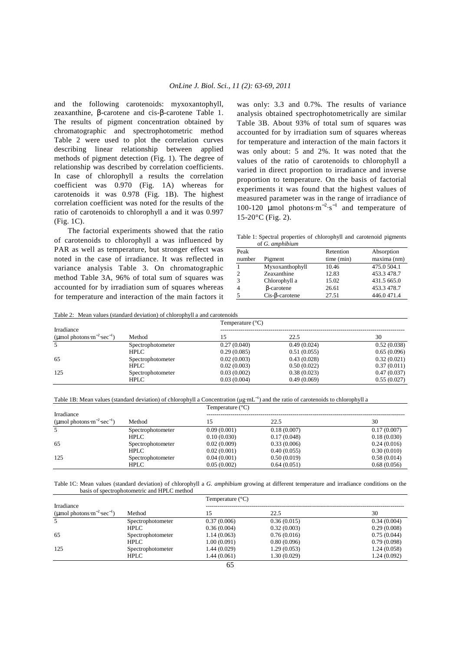and the following carotenoids: myxoxantophyll, zeaxanthine, β-carotene and cis-β-carotene Table 1. The results of pigment concentration obtained by chromatographic and spectrophotometric method Table 2 were used to plot the correlation curves describing linear relationship between applied methods of pigment detection (Fig. 1). The degree of relationship was described by correlation coefficients. In case of chlorophyll a results the correlation coefficient was 0.970 (Fig. 1A) whereas for carotenoids it was 0.978 (Fig. 1B). The highest correlation coefficient was noted for the results of the ratio of carotenoids to chlorophyll a and it was 0.997 (Fig. 1C).

 The factorial experiments showed that the ratio of carotenoids to chlorophyll a was influenced by PAR as well as temperature, but stronger effect was noted in the case of irradiance. It was reflected in variance analysis Table 3. On chromatographic method Table 3A, 96% of total sum of squares was accounted for by irradiation sum of squares whereas for temperature and interaction of the main factors it

was only: 3.3 and 0.7%. The results of variance analysis obtained spectrophotometrically are similar Table 3B. About 93% of total sum of squares was accounted for by irradiation sum of squares whereas for temperature and interaction of the main factors it was only about: 5 and 2%. It was noted that the values of the ratio of carotenoids to chlorophyll a varied in direct proportion to irradiance and inverse proportion to temperature. On the basis of factorial experiments it was found that the highest values of measured parameter was in the range of irradiance of 100-120 µmol photons $\cdot$ m<sup>-2</sup> $\cdot$ s<sup>-1</sup> and temperature of 15-20°C (Fig. 2).

Table 1: Spectral properties of chlorophyll and carotenoid pigments of *G. amphibium*

| Peak   |                           | Retention  | Absorption  |
|--------|---------------------------|------------|-------------|
| number | Pigment                   | time (min) | maxima (nm) |
|        | Myxoxanthophyll           | 10.46      | 475.0 504.1 |
|        | Zeaxanthine               | 12.83      | 453.3478.7  |
| 3      | Chlorophyll a             | 15.02      | 431.5 665.0 |
|        | $\beta$ -carotene         | 26.61      | 453.3478.7  |
|        | $Cis$ - $\beta$ -carotene | 27.51      | 446.0471.4  |

#### Table 2: Mean values (standard deviation) of chlorophyll a and carotenoids

|                                                                                  |                   | Temperature $(^{\circ}C)$ |             |             |
|----------------------------------------------------------------------------------|-------------------|---------------------------|-------------|-------------|
| Irradiance<br>( $\mu$ mol photons·m <sup>-2</sup> ·sec <sup>-1</sup> )<br>Method |                   | 15                        | 22.5        | 30          |
|                                                                                  | Spectrophotometer | 0.27(0.040)               | 0.49(0.024) | 0.52(0.038) |
|                                                                                  | HPLC              | 0.29(0.085)               | 0.51(0.055) | 0.65(0.096) |
| 65                                                                               | Spectrophotometer | 0.02(0.003)               | 0.43(0.028) | 0.32(0.021) |
|                                                                                  | HPLC              | 0.02(0.003)               | 0.50(0.022) | 0.37(0.011) |
| 125                                                                              | Spectrophotometer | 0.03(0.002)               | 0.38(0.023) | 0.47(0.037) |
|                                                                                  | HPLC              | 0.03(0.004)               | 0.49(0.069) | 0.55(0.027) |

Table 1B: Mean values (standard deviation) of chlorophyll a Concentration (μg·mL<sup>-1</sup>) and the ratio of carotenoids to chlorophyll a

|                                                                   |                   | Temperature $(^{\circ}C)$ |             |             |  |
|-------------------------------------------------------------------|-------------------|---------------------------|-------------|-------------|--|
| Irradiance                                                        |                   |                           |             |             |  |
| (umol photons $\cdot$ m <sup>-2</sup> $\cdot$ sec <sup>-1</sup> ) | Method            |                           | 22.5        | 30          |  |
|                                                                   | Spectrophotometer | 0.09(0.001)               | 0.18(0.007) | 0.17(0.007) |  |
|                                                                   | <b>HPLC</b>       | 0.10(0.030)               | 0.17(0.048) | 0.18(0.030) |  |
| 65                                                                | Spectrophotometer | 0.02(0.009)               | 0.33(0.006) | 0.24(0.016) |  |
|                                                                   | <b>HPLC</b>       | 0.02(0.001)               | 0.40(0.055) | 0.30(0.010) |  |
| 125                                                               | Spectrophotometer | 0.04(0.001)               | 0.50(0.019) | 0.58(0.014) |  |
|                                                                   | <b>HPLC</b>       | 0.05(0.002)               | 0.64(0.051) | 0.68(0.056) |  |

Table 1C: Mean values (standard deviation) of chlorophyll a *G. amphibium* growing at different temperature and irradiance conditions on the basis of spectrophotometric and HPLC method

|                   | Temperature $(^{\circ}C)$ |              |             |  |
|-------------------|---------------------------|--------------|-------------|--|
|                   |                           |              |             |  |
| Method            |                           | 22.5         | 30          |  |
| Spectrophotometer | 0.37(0.006)               | 0.36(0.015)  | 0.34(0.004) |  |
| <b>HPLC</b>       | 0.36(0.004)               | 0.32(0.003)  | 0.29(0.008) |  |
| Spectrophotometer | 1.14(0.063)               | 0.76(0.016)  | 0.75(0.044) |  |
| <b>HPLC</b>       | 1.00 (0.091)              | 0.80(0.096)  | 0.79(0.098) |  |
| Spectrophotometer | 1.44 (0.029)              | 1.29(0.053)  | 1.24(0.058) |  |
| <b>HPLC</b>       | 1.44 (0.061)              | 1.30 (0.029) | 1.24(0.092) |  |
|                   |                           |              |             |  |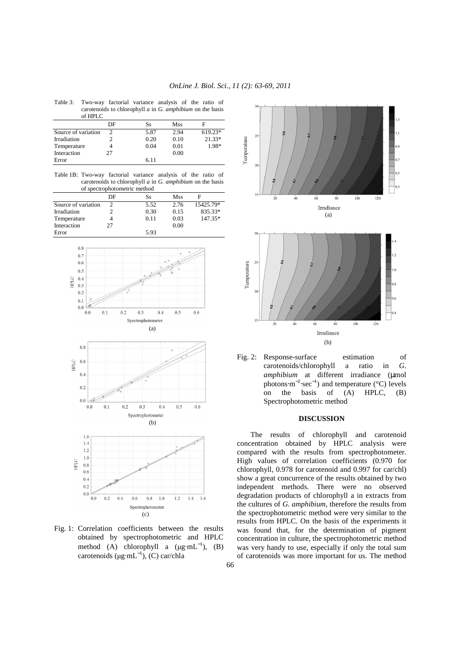Table 3: Two-way factorial variance analysis of the ratio of carotenoids to chlorophyll *a* in *G. amphibium* on the basis

| of HPLC             |               |      |      |          |
|---------------------|---------------|------|------|----------|
|                     | DF            | Ss   | Mss  | F        |
| Source of variation | $\mathcal{D}$ | 5.87 | 2.94 | 619.23*  |
| <b>Irradiation</b>  |               | 0.20 | 0.10 | $21.33*$ |
| Temperature         |               | 0.04 | 0.01 | 1.98*    |
| Interaction         | 27            |      | 0.00 |          |
| Error               |               | 6.11 |      |          |
|                     |               |      |      |          |

Table 1B: Two-way factorial variance analysis of the ratio of carotenoids to chlorophyll *a* in *G. amphibium* on the basis of spectrophotometric method

|                     | DF | Ss   | Mss  |           |
|---------------------|----|------|------|-----------|
| Source of variation |    | 5.52 | 2.76 | 15425.79* |
| Irradiation         |    | 0.30 | 0.15 | 835.33*   |
| Temperature         |    | 0.11 | 0.03 | $147.35*$ |
| Interaction         | 27 |      | 0.00 |           |
| Error               |    | 5.93 |      |           |



Fig. 1: Correlation coefficients between the results obtained by spectrophotometric and HPLC method (A) chlorophyll a  $(\mu g \cdot mL^{-1})$ , (B) carotenoids ( $\mu$ g·mL<sup>-1</sup>), (C) car/chla



Fig. 2: Response-surface estimation of carotenoids/chlorophyll a ratio in *G. amphibium* at different irradiance (µmol photons⋅m<sup>-2</sup>⋅sec<sup>-1</sup>) and temperature (°C) levels on the basis of (A) HPLC, (B) Spectrophotometric method

### **DISCUSSION**

 The results of chlorophyll and carotenoid concentration obtained by HPLC analysis were compared with the results from spectrophotometer. High values of correlation coefficients (0.970 for chlorophyll, 0.978 for carotenoid and 0.997 for car/chl) show a great concurrence of the results obtained by two independent methods. There were no observed degradation products of chlorophyll a in extracts from the cultures of *G. amphibium*, therefore the results from the spectrophotometric method were very similar to the results from HPLC. On the basis of the experiments it was found that, for the determination of pigment concentration in culture, the spectrophotometric method was very handy to use, especially if only the total sum of carotenoids was more important for us. The method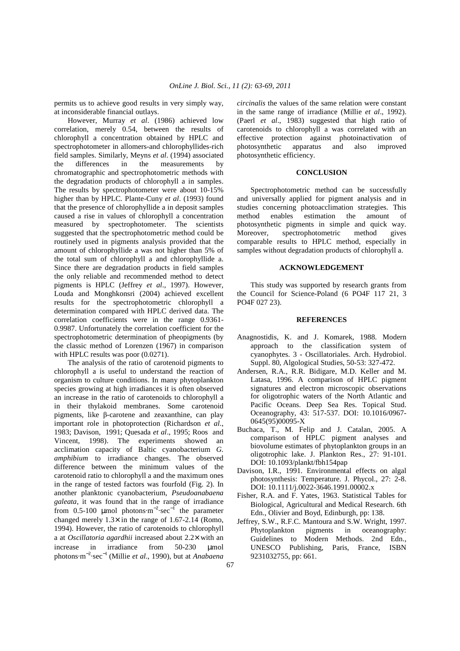permits us to achieve good results in very simply way, at inconsiderable financial outlays.

 However, Murray *et al*. (1986) achieved low correlation, merely 0.54, between the results of chlorophyll a concentration obtained by HPLC and spectrophotometer in allomers-and chlorophyllides-rich field samples. Similarly, Meyns *et al*. (1994) associated the differences in the measurements by chromatographic and spectrophotometric methods with the degradation products of chlorophyll a in samples. The results by spectrophotometer were about 10-15% higher than by HPLC. Plante-Cuny *et al*. (1993) found that the presence of chlorophyllide a in deposit samples caused a rise in values of chlorophyll a concentration measured by spectrophotometer. The scientists suggested that the spectrophotometric method could be routinely used in pigments analysis provided that the amount of chlorophyllide a was not higher than 5% of the total sum of chlorophyll a and chlorophyllide a. Since there are degradation products in field samples the only reliable and recommended method to detect pigments is HPLC (Jeffrey *et al*., 1997). However, Louda and Monghkonsri (2004) achieved excellent results for the spectrophotometric chlorophyll a determination compared with HPLC derived data. The correlation coefficients were in the range 0.9361- 0.9987. Unfortunately the correlation coefficient for the spectrophotometric determination of pheopigments (by the classic method of Lorenzen (1967) in comparison with HPLC results was poor  $(0.0271)$ .

 The analysis of the ratio of carotenoid pigments to chlorophyll a is useful to understand the reaction of organism to culture conditions. In many phytoplankton species growing at high irradiances it is often observed an increase in the ratio of carotenoids to chlorophyll a in their thylakoid membranes. Some carotenoid pigments, like β-carotene and zeaxanthine, can play important role in photoprotection (Richardson *et al*., 1983; Davison, 1991; Quesada *et al*., 1995; Roos and Vincent, 1998). The experiments showed an acclimation capacity of Baltic cyanobacterium *G. amphibium* to irradiance changes. The observed difference between the minimum values of the carotenoid ratio to chlorophyll a and the maximum ones in the range of tested factors was fourfold (Fig. 2). In another planktonic cyanobacterium, *Pseudoanabaena galeata*, it was found that in the range of irradiance from 0.5-100 µmol photons·m<sup>-2</sup>·sec<sup>-1</sup> the parameter changed merely 1.3× in the range of 1.67-2.14 (Romo, 1994). However, the ratio of carotenoids to chlorophyll a at *Oscillatoria agardhii* increased about 2.2× with an increase in irradiance from 50-230 umol photons·m<sup>−</sup><sup>2</sup> ·sec<sup>−</sup><sup>1</sup>(Millie *et al*., 1990), but at *Anabaena*  *circinalis* the values of the same relation were constant in the same range of irradiance (Millie *et al*., 1992). (Paerl *et al*., 1983) suggested that high ratio of carotenoids to chlorophyll a was correlated with an effective protection against photoinactivation of photosynthetic apparatus and also improved photosynthetic efficiency.

# **CONCLUSION**

 Spectrophotometric method can be successfully and universally applied for pigment analysis and in studies concerning photoacclimation strategies. This method enables estimation the amount of photosynthetic pigments in simple and quick way.<br>Moreover, spectrophotometric method gives Moreover, spectrophotometric method gives comparable results to HPLC method, especially in samples without degradation products of chlorophyll a.

# **ACKNOWLEDGEMENT**

 This study was supported by research grants from the Council for Science-Poland (6 PO4F 117 21, 3 PO4F 027 23).

### **REFERENCES**

- Anagnostidis, K. and J. Komarek, 1988. Modern approach to the classification system of cyanophytes. 3 - Oscillatoriales. Arch. Hydrobiol. Suppl. 80, Algological Studies, 50-53: 327-472.
- Andersen, R.A., R.R. Bidigare, M.D. Keller and M. Latasa, 1996. A comparison of HPLC pigment signatures and electron microscopic observations for oligotrophic waters of the North Atlantic and Pacific Oceans. Deep Sea Res. Topical Stud. Oceanography, 43: 517-537. DOI: 10.1016/0967- 0645(95)00095-X
- Buchaca, T., M. Felip and J. Catalan, 2005. A comparison of HPLC pigment analyses and biovolume estimates of phytoplankton groups in an oligotrophic lake. J. Plankton Res., 27: 91-101. DOI: 10.1093/plankt/fbh154pap
- Davison, I.R., 1991. Environmental effects on algal photosynthesis: Temperature. J. Phycol., 27: 2-8. DOI: 10.1111/j.0022-3646.1991.00002.x
- Fisher, R.A. and F. Yates, 1963. Statistical Tables for Biological, Agricultural and Medical Research. 6th Edn., Olivier and Boyd, Edinburgh, pp: 138.
- Jeffrey, S.W., R.F.C. Mantoura and S.W. Wright, 1997. in oceanography: Guidelines to Modern Methods. 2nd Edn., UNESCO Publishing, Paris, France, ISBN 9231032755, pp: 661.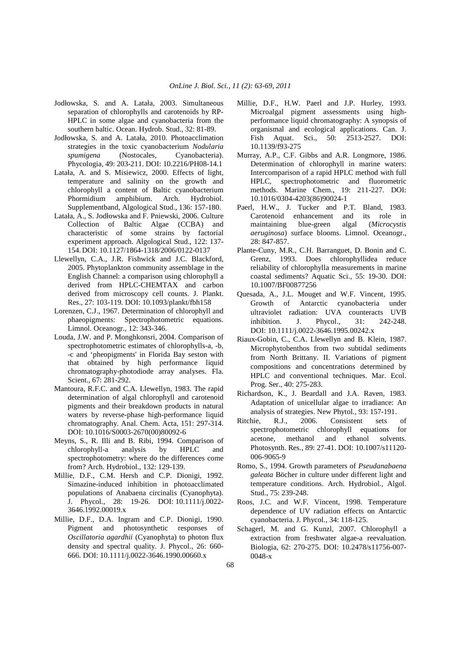- Jodłowska, S. and A. Latała, 2003. Simultaneous separation of chlorophylls and carotenoids by RP-HPLC in some algae and cyanobacteria from the southern baltic. Ocean. Hydrob. Stud., 32: 81-89.
- Jodłowska, S. and A. Latała, 2010. Photoacclimation strategies in the toxic cyanobacterium *Nodularia spumigena* (Nostocales, Cyanobacteria). Phycologia, 49: 203-211. DOI: 10.2216/PH08-14.1
- Latała, A. and S. Misiewicz, 2000. Effects of light, temperature and salinity on the growth and chlorophyll a content of Baltic cyanobacterium Phormidium amphibium. Arch. Hydrobiol. Supplementband, Algological Stud., 136: 157-180.
- Latała, A., S. Jodłowska and F. Pniewski, 2006. Culture Collection of Baltic Algae (CCBA) and characteristic of some strains by factorial experiment approach. Algological Stud., 122: 137- 154. DOI: 10.1127/1864-1318/2006/0122-0137
- Llewellyn, C.A., J.R. Fishwick and J.C. Blackford, 2005. Phytoplankton community assemblage in the English Channel: a comparison using chlorophyll a derived from HPLC-CHEMTAX and carbon derived from microscopy cell counts. J. Plankt. Res., 27: 103-119. DOI: 10.1093/plankt/fbh158
- Lorenzen, C.J., 1967. Determination of chlorophyll and phaeopigments: Spectrophotometric equations. Limnol. Oceanogr., 12: 343-346.
- Louda, J.W. and P. Monghkonsri, 2004. Comparison of spectrophotometric estimates of chlorophylls-a, -b, -c and 'pheopigments' in Florida Bay seston with that obtained by high performance liquid chromatography-photodiode array analyses. Fla. Scient., 67: 281-292.
- Mantoura, R.F.C. and C.A. Llewellyn, 1983. The rapid determination of algal chlorophyll and carotenoid pigments and their breakdown products in natural waters by reverse-phase high-performance liquid chromatography. Anal. Chem. Acta, 151: 297-314. DOI: 10.1016/S0003-2670(00)80092-6
- Meyns, S., R. Illi and B. Ribi, 1994. Comparison of chlorophyll-a analysis by HPLC and spectrophotometry: where do the differences come from? Arch. Hydrobiol., 132: 129-139.
- Millie, D.F., C.M. Hersh and C.P. Dionigi, 1992. Simazine-induced inhibition in photoacclimated populations of Anabaena circinalis (Cyanophyta). J. Phycol., 28: 19-26. DOI: 10.1111/j.0022- 3646.1992.00019.x
- Millie, D.F., D.A. Ingram and C.P. Dionigi, 1990. Pigment and photosynthetic responses of *Oscillatoria agardhii* (Cyanophyta) to photon flux density and spectral quality. J. Phycol., 26: 660- 666. DOI: 10.1111/j.0022-3646.1990.00660.x
- Millie, D.F., H.W. Paerl and J.P. Hurley, 1993. Microalgal pigment assessments using highperformance liquid chromatography: A synopsis of organismal and ecological applications. Can. J. Fish Aquat. Sci., 50: 2513-2527. DOI: 10.1139/f93-275
- Murray, A.P., C.F. Gibbs and A.R. Longmore, 1986. Determination of chlorophyll in marine waters: Intercomparison of a rapid HPLC method with full HPLC, spectrophotometric and fluorometric methods. Marine Chem., 19: 211-227. DOI: 10.1016/0304-4203(86)90024-1
- Paerl, H.W., J. Tucker and P.T. Bland, 1983. Carotenoid enhancement and its role in maintaining blue-green algal (*Microcystis aeruginosa*) surface blooms. Limnol. Oceanogr., 28: 847-857.
- Plante-Cuny, M.R., C.H. Barranguet, D. Bonin and C. Grenz, 1993. Does chlorophyllidea reduce reliability of chlorophylla measurements in marine coastal sediments? Aquatic Sci., 55: 19-30. DOI: 10.1007/BF00877256
- Quesada, A., J.L. Mouget and W.F. Vincent, 1995. Growth of Antarctic cyanobacteria under ultraviolet radiation: UVA counteracts UVB inhibition. J. Phycol., 31: 242-248. DOI: 10.1111/j.0022-3646.1995.00242.x
- Riaux-Gobin, C., C.A. Llewellyn and B. Klein, 1987. Microphytobenthos from two subtidal sediments from North Brittany. II. Variations of pigment compositions and concentrations determined by HPLC and conventional techniques. Mar. Ecol. Prog. Ser., 40: 275-283.
- Richardson, K., J. Beardall and J.A. Raven, 1983. Adaptation of unicellular algae to irradiance: An analysis of strategies. New Phytol., 93: 157-191.
- Ritchie, R.J., 2006. Consistent sets of spectrophotometric chlorophyll equations for acetone, methanol and ethanol solvents. Photosynth. Res., 89: 27-41. DOI: 10.1007/s11120- 006-9065-9
- Romo, S., 1994. Growth parameters of *Pseudanabaena galeata* Böcher in culture under different light and temperature conditions. Arch. Hydrobiol., Algol. Stud., 75: 239-248.
- Roos, J.C. and W.F. Vincent, 1998. Temperature dependence of UV radiation effects on Antarctic cyanobacteria. J. Phycol., 34: 118-125.
- Schagerl, M. and G. Kunzl, 2007. Chlorophyll a extraction from freshwater algae-a reevaluation. Biologia, 62: 270-275. DOI: 10.2478/s11756-007- 0048-x